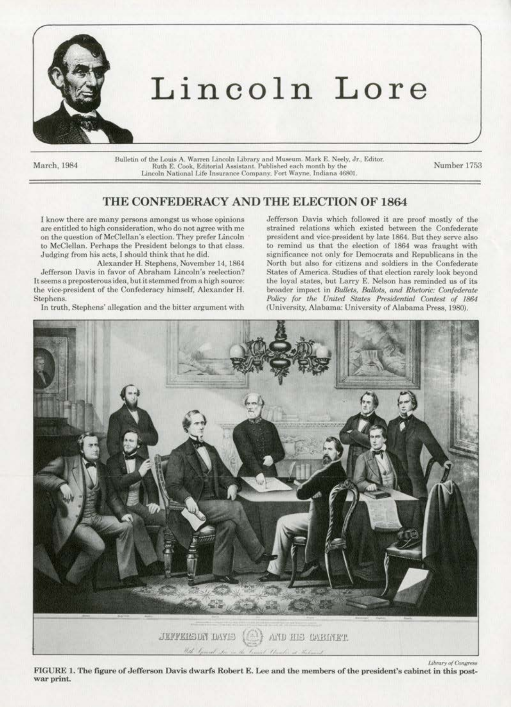

# Lincoln Lore

March, 1984

 $\label{thm:2} \textsc{Bulletin}$  Bulletin of the Louis A. Warren Lincoln Library and Museum. Mark E. Neely, Jr., Editor. Ruth E. Cook, Editorial Assistant. Published each month by the Lincoln National Life Insurance Company. Fort Wayne

Number 1753

# THE CONFEDERACY AND THE ELECTION OF 1864

I know there are many persons amongst us whose opinions are entitled to high consideration, who do not agree with me on the question of McClellan's election. They prefer Lincoln to McClellan. Perhaps the President belongs to that class. Judging from his acts, I should think that he did.

Alexander H. Stephens, November 14, 1864 Jefferson Davis in favor of Abraham Lincoln's reelection? It seems a preposterous idea, but it stemmed from a high source: the vice-president of the Confederacy himself, Alexander H. Stephens.

In truth, Stephens' allegation and the bitter argument with

Jefferson Davis which followed it are proof mostly of the strained relations which existed between the Confederate president and vice-president by late 1864. But they serve also to remind us that the election of 1864 was fraught with significance not only for Democrats and Republicans in the North but also for citizens and soldiers in the Confederate States of America. Studies of that election rarely look beyond the loval states, but Larry E. Nelson has reminded us of its broader impact in Bullets, Ballots, and Rhetoric: Confederate Policy for the United States Presidential Contest of 1864 (University, Alabama: University of Alabama Press, 1980).



FIGURE 1. The figure of Jefferson Davis dwarfs Robert E. Lee and the members of the president's cabinet in this postwar print.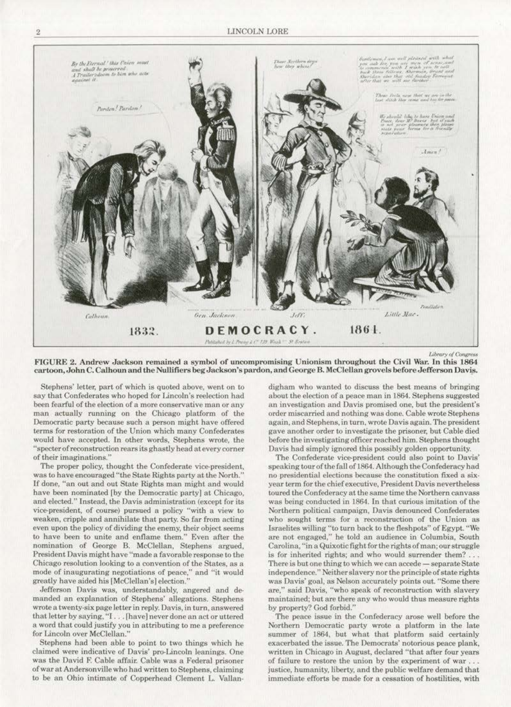

Library of Congress

FIGURE 2. Andrew Jackson remained a symbol of uncompromising Unionism throughout the Civil War. In this 1864 cartoon, John C. Calhoun and the Nullifiers beg Jackson's pardon, and George B. McClellan grovels before Jefferson Davis.

Stephens' letter, part of which is quoted above, went on to say that Confederates who hoped for Lincoln's reelection had been fearful of the election of a more conservative man or any man actually running on the Chicago platform of the Democratic party because such a person might have offered terms for restoration of the Union which many Confederates would have accepted. In other words, Stephens wrote, the "specter of reconstruction rears its ghastly head at every corner of their imaginations.'

The proper policy, thought the Confederate vice-president, was to have encouraged "the State Rights party at the North." If done, "an out and out State Rights man might and would have been nominated [by the Democratic party] at Chicago, and elected." Instead, the Davis administration (except for its vice-president, of course) pursued a policy "with a view to weaken, cripple and annihilate that party. So far from acting even upon the policy of dividing the enemy, their object seems to have been to unite and enflame them." Even after the nomination of George B. McClellan, Stephens argued, President Davis might have "made a favorable response to the Chicago resolution looking to a convention of the States, as a mode of inaugurating negotiations of peace," and "it would greatly have aided his [McClellan's] election.'

Jefferson Davis was, understandably, angered and demanded an explanation of Stephens' allegations. Stephens wrote a twenty-six page letter in reply. Davis, in turn, answered that letter by saying, "I... [have] never done an act or uttered a word that could justify you in attributing to me a preference for Lincoln over McClellan."

Stephens had been able to point to two things which he claimed were indicative of Davis' pro-Lincoln leanings. One was the David F. Cable affair. Cable was a Federal prisoner of war at Andersonville who had written to Stephens, claiming to be an Ohio intimate of Copperhead Clement L. Vallan-

digham who wanted to discuss the best means of bringing about the election of a peace man in 1864. Stephens suggested an investigation and Davis promised one, but the president's order miscarried and nothing was done. Cable wrote Stephens again, and Stephens, in turn, wrote Davis again. The president gave another order to investigate the prisoner, but Cable died before the investigating officer reached him. Stephens thought Davis had simply ignored this possibly golden opportunity.

The Confederate vice-president could also point to Davis speaking tour of the fall of 1864. Although the Confederacy had no presidential elections because the constitution fixed a sixyear term for the chief executive. President Davis nevertheless toured the Confederacy at the same time the Northern canvass was being conducted in 1864. In that curious imitation of the Northern political campaign, Davis denounced Confederates who sought terms for a reconstruction of the Union as Israelites willing "to turn back to the fleshpots" of Egypt. "We are not engaged," he told an audience in Columbia, South Carolina, "in a Quixotic fight for the rights of man; our struggle is for inherited rights; and who would surrender them?... There is but one thing to which we can accede - separate State independence." Neither slavery nor the principle of state rights was Davis' goal, as Nelson accurately points out. "Some there are," said Davis, "who speak of reconstruction with slavery maintained; but are there any who would thus measure rights by property? God forbid."

The peace issue in the Confederacy arose well before the Northern Democratic party wrote a platform in the late summer of 1864, but what that platform said certainly exacerbated the issue. The Democrats' notorious peace plank, written in Chicago in August, declared "that after four years of failure to restore the union by the experiment of war... justice, humanity, liberty, and the public welfare demand that immediate efforts be made for a cessation of hostilities, with

 $\overline{2}$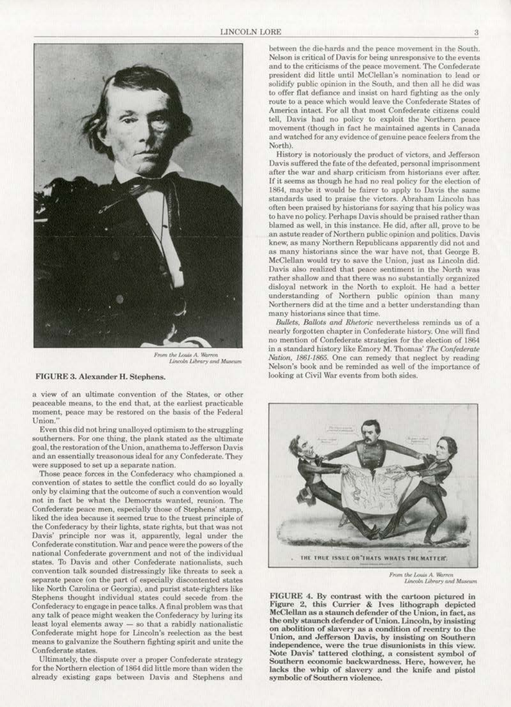

From the Louis A. Warren<br>Lincoln Library and Museum

#### FIGURE 3. Alexander H. Stephens.

a view of an ultimate convention of the States, or other peaceable means, to the end that, at the earliest practicable moment, peace may be restored on the basis of the Federal Union.'

Even this did not bring unalloyed optimism to the struggling southerners. For one thing, the plank stated as the ultimate goal, the restoration of the Union, anathema to Jefferson Davis and an essentially treasonous ideal for any Confederate. They were supposed to set up a separate nation.

Those peace forces in the Confederacy who championed a convention of states to settle the conflict could do so loyally only by claiming that the outcome of such a convention would not in fact be what the Democrats wanted, reunion. The Confederate peace men, especially those of Stephens' stamp, liked the idea because it seemed true to the truest principle of the Confederacy by their lights, state rights, but that was not Davis' principle nor was it, apparently, legal under the Confederate constitution. War and peace were the powers of the national Confederate government and not of the individual states. To Davis and other Confederate nationalists, such convention talk sounded distressingly like threats to seek a separate peace (on the part of especially discontented states like North Carolina or Georgia), and purist state-righters like Stephens thought individual states could secede from the Confederacy to engage in peace talks. A final problem was that any talk of peace might weaken the Confederacy by luring its least loyal elements away - so that a rabidly nationalistic Confederate might hope for Lincoln's reelection as the best means to galvanize the Southern fighting spirit and unite the Confederate states.

Ultimately, the dispute over a proper Confederate strategy for the Northern election of 1864 did little more than widen the already existing gaps between Davis and Stephens and

between the die-hards and the peace movement in the South. Nelson is critical of Davis for being unresponsive to the events and to the criticisms of the peace movement. The Confederate president did little until McClellan's nomination to lead or solidify public opinion in the South, and then all he did was to offer flat defiance and insist on hard fighting as the only route to a peace which would leave the Confederate States of America intact. For all that most Confederate citizens could tell, Davis had no policy to exploit the Northern peace movement (though in fact he maintained agents in Canada and watched for any evidence of genuine peace feelers from the North).

History is notoriously the product of victors, and Jefferson Davis suffered the fate of the defeated, personal imprisonment after the war and sharp criticism from historians ever after. If it seems as though he had no real policy for the election of 1864, maybe it would be fairer to apply to Davis the same standards used to praise the victors. Abraham Lincoln has often been praised by historians for saying that his policy was to have no policy. Perhaps Davis should be praised rather than blamed as well, in this instance. He did, after all, prove to be an astute reader of Northern public opinion and politics. Davis knew, as many Northern Republicans apparently did not and as many historians since the war have not, that George B. McClellan would try to save the Union, just as Lincoln did. Davis also realized that peace sentiment in the North was rather shallow and that there was no substantially organized disloyal network in the North to exploit. He had a better understanding of Northern public opinion than many Northerners did at the time and a better understanding than many historians since that time.

Bullets, Ballots and Rhetoric nevertheless reminds us of a nearly forgotten chapter in Confederate history. One will find no mention of Confederate strategies for the election of 1864 in a standard history like Emory M. Thomas' The Confederate Nation, 1861-1865. One can remedy that neglect by reading Nelson's book and be reminded as well of the importance of looking at Civil War events from both sides.



From the Louis A. Warren Lincoln Library and Museum

FIGURE 4. By contrast with the cartoon pictured in Figure 2, this Currier & Ives lithograph depicted McClellan as a staunch defender of the Union, in fact, as the only staunch defender of Union. Lincoln, by insisting on abolition of slavery as a condition of reentry to the Union, and Jefferson Davis, by insisting on Southern independence, were the true disunionists in this view. Note Davis' tattered clothing, a consistent symbol of Southern economic backwardness. Here, however, he lacks the whip of slavery and the knife and pistol symbolic of Southern violence.